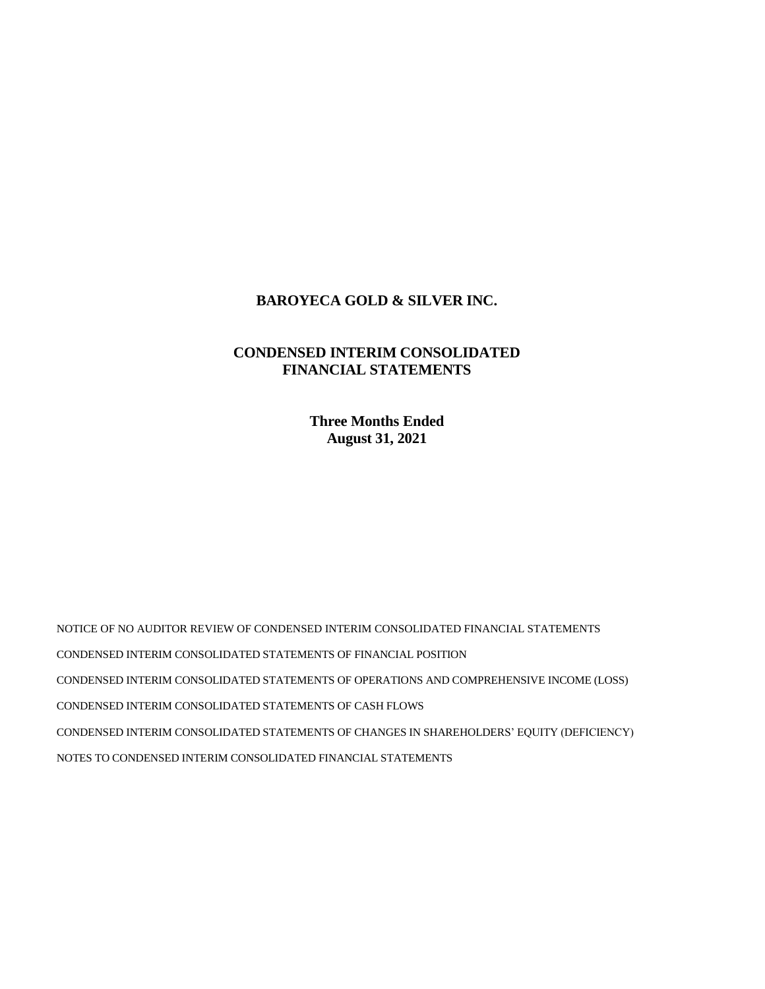# **BAROYECA GOLD & SILVER INC.**

# **CONDENSED INTERIM CONSOLIDATED FINANCIAL STATEMENTS**

**Three Months Ended August 31, 2021**

NOTICE OF NO AUDITOR REVIEW OF CONDENSED INTERIM CONSOLIDATED FINANCIAL STATEMENTS CONDENSED INTERIM CONSOLIDATED STATEMENTS OF FINANCIAL POSITION CONDENSED INTERIM CONSOLIDATED STATEMENTS OF OPERATIONS AND COMPREHENSIVE INCOME (LOSS) CONDENSED INTERIM CONSOLIDATED STATEMENTS OF CASH FLOWS CONDENSED INTERIM CONSOLIDATED STATEMENTS OF CHANGES IN SHAREHOLDERS' EQUITY (DEFICIENCY) NOTES TO CONDENSED INTERIM CONSOLIDATED FINANCIAL STATEMENTS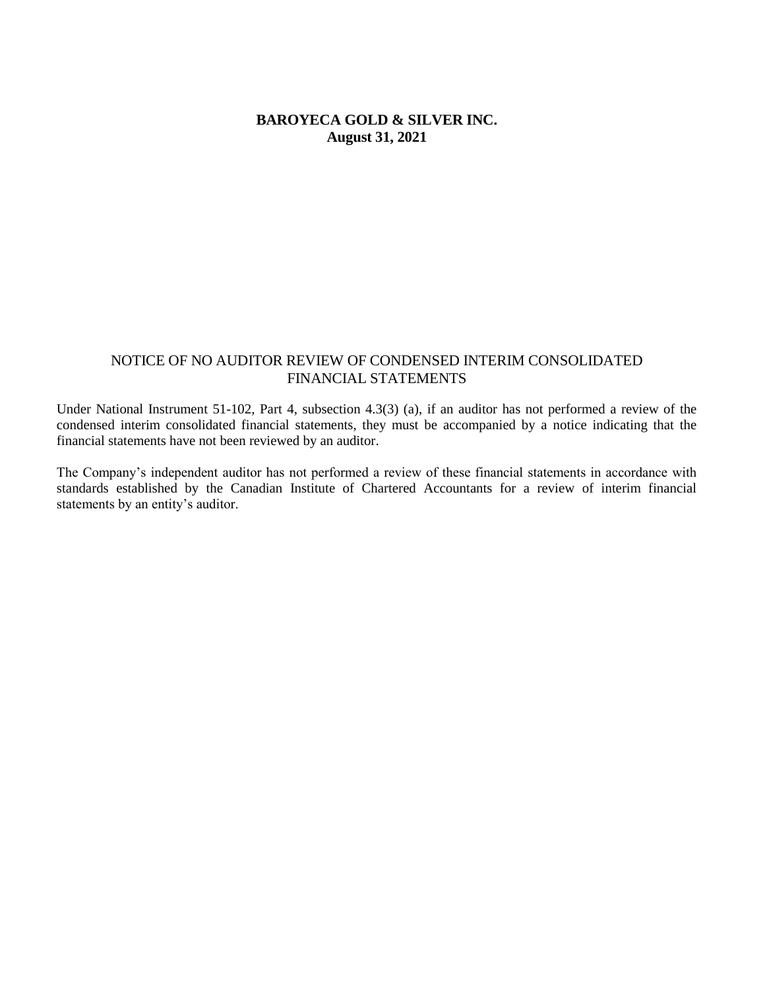# **BAROYECA GOLD & SILVER INC. August 31, 2021**

# NOTICE OF NO AUDITOR REVIEW OF CONDENSED INTERIM CONSOLIDATED FINANCIAL STATEMENTS

Under National Instrument 51-102, Part 4, subsection 4.3(3) (a), if an auditor has not performed a review of the condensed interim consolidated financial statements, they must be accompanied by a notice indicating that the financial statements have not been reviewed by an auditor.

The Company's independent auditor has not performed a review of these financial statements in accordance with standards established by the Canadian Institute of Chartered Accountants for a review of interim financial statements by an entity's auditor.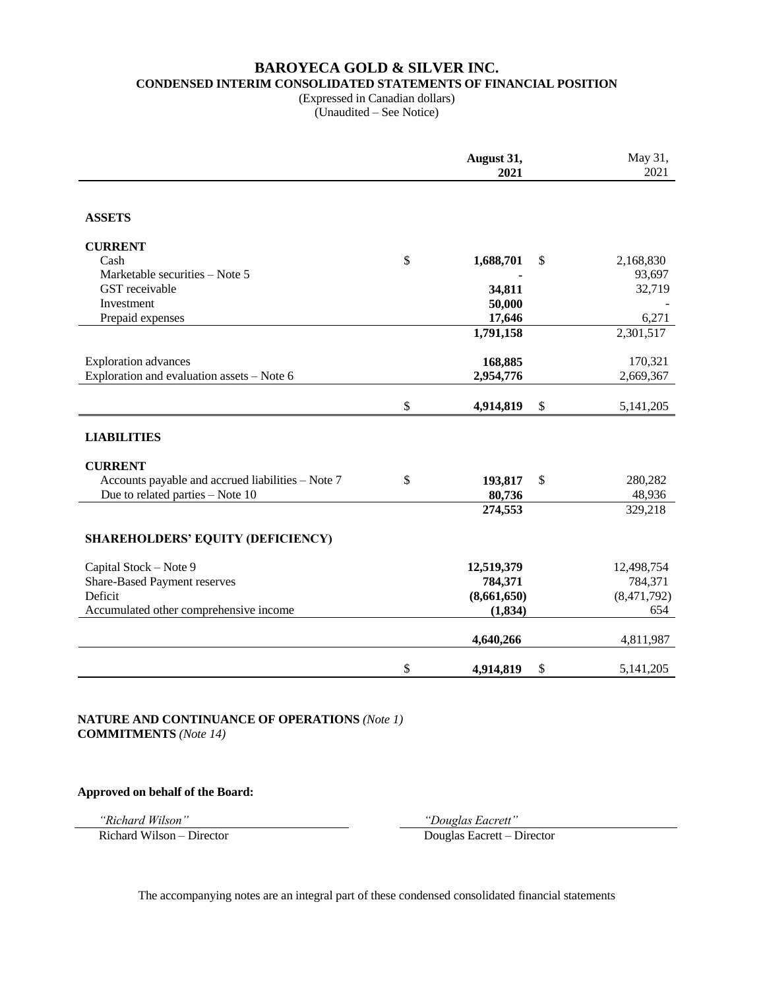# **BAROYECA GOLD & SILVER INC. CONDENSED INTERIM CONSOLIDATED STATEMENTS OF FINANCIAL POSITION**

(Expressed in Canadian dollars) (Unaudited – See Notice)

|                                                   | August 31,<br>2021 | May 31,<br>2021   |
|---------------------------------------------------|--------------------|-------------------|
|                                                   |                    |                   |
| <b>ASSETS</b>                                     |                    |                   |
| <b>CURRENT</b>                                    |                    |                   |
| Cash                                              | \$<br>1,688,701    | \$<br>2,168,830   |
| Marketable securities - Note 5                    |                    | 93,697            |
| GST receivable                                    | 34,811             | 32,719            |
| Investment                                        | 50,000             |                   |
| Prepaid expenses                                  | 17,646             | 6,271             |
|                                                   | 1,791,158          | 2,301,517         |
| <b>Exploration</b> advances                       | 168,885            | 170,321           |
| Exploration and evaluation assets - Note 6        | 2,954,776          | 2,669,367         |
|                                                   |                    |                   |
|                                                   | \$<br>4,914,819    | \$<br>5, 141, 205 |
| <b>LIABILITIES</b>                                |                    |                   |
| <b>CURRENT</b>                                    |                    |                   |
| Accounts payable and accrued liabilities - Note 7 | \$<br>193,817      | \$<br>280,282     |
| Due to related parties - Note 10                  | 80,736             | 48,936            |
|                                                   | 274,553            | 329,218           |
| <b>SHAREHOLDERS' EQUITY (DEFICIENCY)</b>          |                    |                   |
| Capital Stock - Note 9                            | 12,519,379         | 12,498,754        |
| Share-Based Payment reserves                      | 784,371            | 784,371           |
| Deficit                                           | (8,661,650)        | (8,471,792)       |
| Accumulated other comprehensive income            | (1, 834)           | 654               |
|                                                   | 4,640,266          | 4,811,987         |
|                                                   |                    |                   |
|                                                   | \$<br>4,914,819    | \$<br>5, 141, 205 |

 **NATURE AND CONTINUANCE OF OPERATIONS** *(Note 1)* **COMMITMENTS** *(Note 14)*

 **Approved on behalf of the Board:**

Richard Wilson – Director Douglas Eacrett – Director

*"Richard Wilson" "Douglas Eacrett"*

The accompanying notes are an integral part of these condensed consolidated financial statements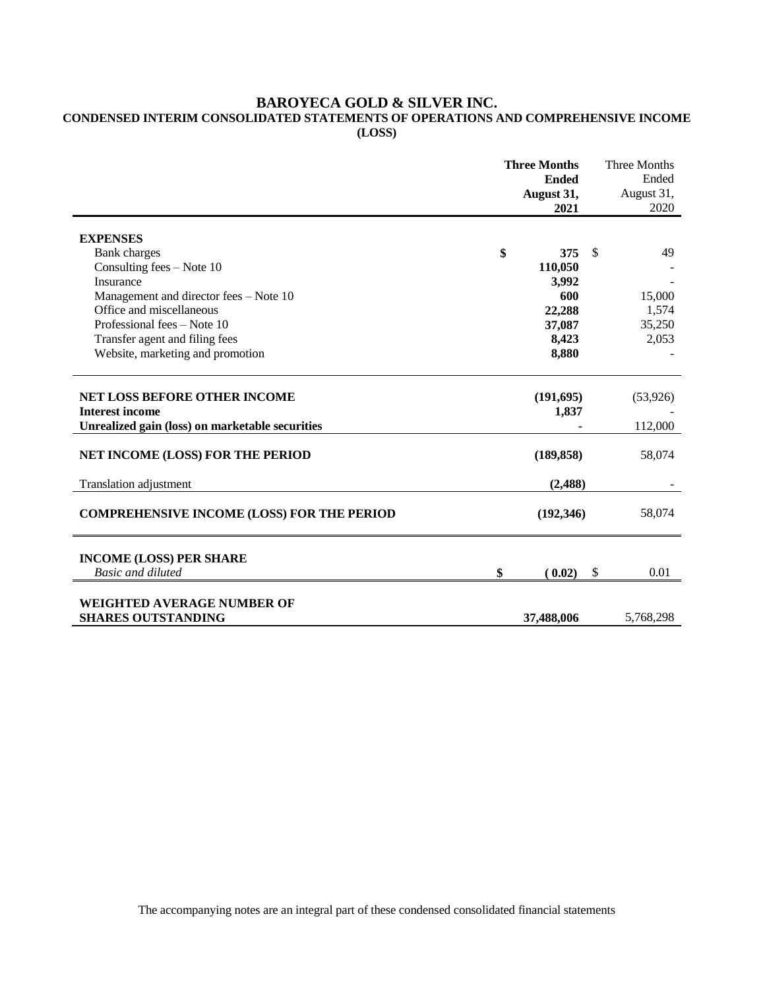# **BAROYECA GOLD & SILVER INC.**

# **CONDENSED INTERIM CONSOLIDATED STATEMENTS OF OPERATIONS AND COMPREHENSIVE INCOME (LOSS)**

|                                                                    | <b>Three Months</b><br><b>Ended</b><br>August 31, |               | Three Months<br>Ended<br>August 31, |
|--------------------------------------------------------------------|---------------------------------------------------|---------------|-------------------------------------|
|                                                                    | 2021                                              |               | 2020                                |
|                                                                    |                                                   |               |                                     |
| <b>EXPENSES</b>                                                    | \$<br>375                                         | <sup>\$</sup> | 49                                  |
| <b>Bank</b> charges<br>Consulting fees $-$ Note 10                 |                                                   |               |                                     |
| Insurance                                                          | 110,050                                           |               |                                     |
|                                                                    | 3,992<br>600                                      |               | 15,000                              |
| Management and director fees - Note 10<br>Office and miscellaneous | 22,288                                            |               | 1,574                               |
| Professional fees – Note 10                                        |                                                   |               | 35,250                              |
| Transfer agent and filing fees                                     | 37,087<br>8,423                                   |               | 2,053                               |
| Website, marketing and promotion                                   | 8,880                                             |               |                                     |
|                                                                    |                                                   |               |                                     |
|                                                                    |                                                   |               |                                     |
| <b>NET LOSS BEFORE OTHER INCOME</b>                                | (191, 695)                                        |               | (53,926)                            |
| <b>Interest income</b>                                             | 1,837                                             |               |                                     |
| Unrealized gain (loss) on marketable securities                    |                                                   |               | 112,000                             |
| NET INCOME (LOSS) FOR THE PERIOD                                   | (189, 858)                                        |               | 58,074                              |
| <b>Translation adjustment</b>                                      | (2,488)                                           |               |                                     |
| <b>COMPREHENSIVE INCOME (LOSS) FOR THE PERIOD</b>                  | (192,346)                                         |               | 58,074                              |
| <b>INCOME (LOSS) PER SHARE</b>                                     |                                                   |               |                                     |
| <b>Basic and diluted</b>                                           | \$<br>(0.02)                                      | $\mathcal{S}$ | 0.01                                |
|                                                                    |                                                   |               |                                     |
| WEIGHTED AVERAGE NUMBER OF                                         |                                                   |               |                                     |
| <b>SHARES OUTSTANDING</b>                                          | 37,488,006                                        |               | 5,768,298                           |

The accompanying notes are an integral part of these condensed consolidated financial statements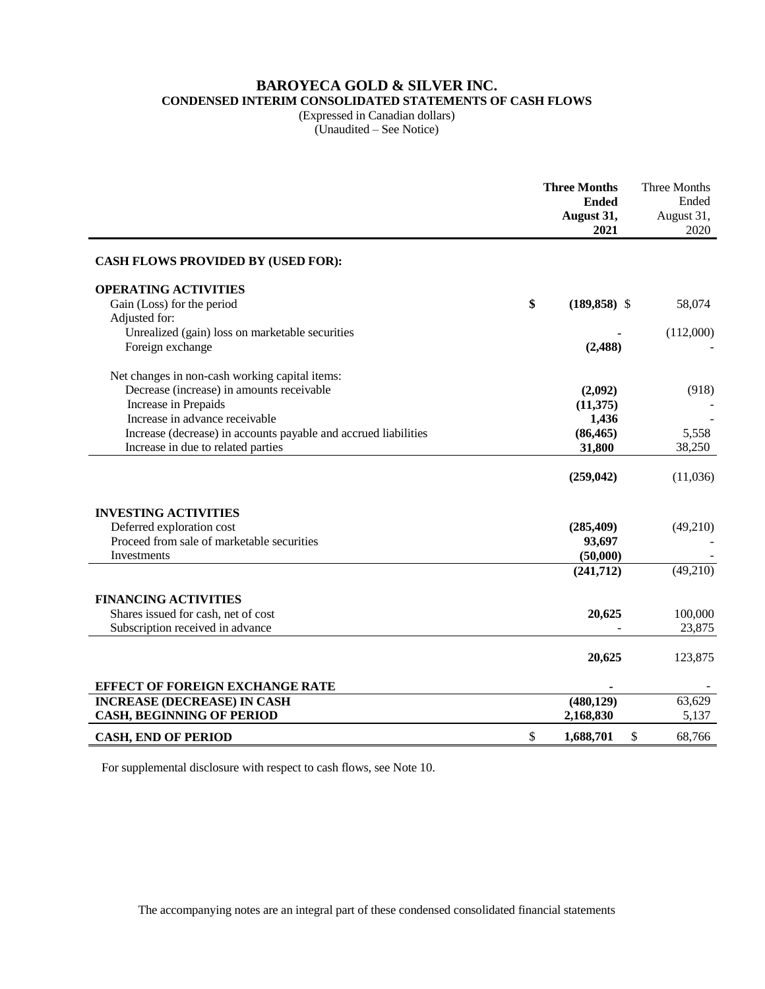# **BAROYECA GOLD & SILVER INC.**

**CONDENSED INTERIM CONSOLIDATED STATEMENTS OF CASH FLOWS**

(Expressed in Canadian dollars) (Unaudited – See Notice)

|                                                                 | <b>Three Months</b><br><b>Ended</b><br>August 31,<br>2021 | Three Months<br>Ended<br>August 31,<br>2020 |
|-----------------------------------------------------------------|-----------------------------------------------------------|---------------------------------------------|
| <b>CASH FLOWS PROVIDED BY (USED FOR):</b>                       |                                                           |                                             |
| <b>OPERATING ACTIVITIES</b>                                     |                                                           |                                             |
| Gain (Loss) for the period                                      | \$<br>$(189, 858)$ \$                                     | 58,074                                      |
| Adjusted for:                                                   |                                                           |                                             |
| Unrealized (gain) loss on marketable securities                 |                                                           | (112,000)                                   |
| Foreign exchange                                                | (2, 488)                                                  |                                             |
| Net changes in non-cash working capital items:                  |                                                           |                                             |
| Decrease (increase) in amounts receivable                       | (2,092)                                                   | (918)                                       |
| Increase in Prepaids                                            | (11,375)                                                  |                                             |
| Increase in advance receivable                                  | 1,436                                                     |                                             |
| Increase (decrease) in accounts payable and accrued liabilities | (86, 465)                                                 | 5,558                                       |
| Increase in due to related parties                              | 31,800                                                    | 38,250                                      |
|                                                                 | (259, 042)                                                | (11,036)                                    |
| <b>INVESTING ACTIVITIES</b>                                     |                                                           |                                             |
| Deferred exploration cost                                       | (285, 409)                                                | (49,210)                                    |
| Proceed from sale of marketable securities                      | 93,697                                                    |                                             |
| Investments                                                     | (50,000)                                                  |                                             |
|                                                                 | (241,712)                                                 | (49,210)                                    |
| <b>FINANCING ACTIVITIES</b>                                     |                                                           |                                             |
| Shares issued for cash, net of cost                             | 20,625                                                    | 100,000                                     |
| Subscription received in advance                                |                                                           | 23,875                                      |
|                                                                 |                                                           |                                             |
|                                                                 | 20,625                                                    | 123,875                                     |
| EFFECT OF FOREIGN EXCHANGE RATE                                 |                                                           |                                             |
| <b>INCREASE (DECREASE) IN CASH</b>                              | (480, 129)                                                | 63,629                                      |
| <b>CASH, BEGINNING OF PERIOD</b>                                | 2,168,830                                                 | 5,137                                       |
| <b>CASH, END OF PERIOD</b>                                      | \$<br>1,688,701<br>\$                                     | 68,766                                      |

For supplemental disclosure with respect to cash flows, see Note 10.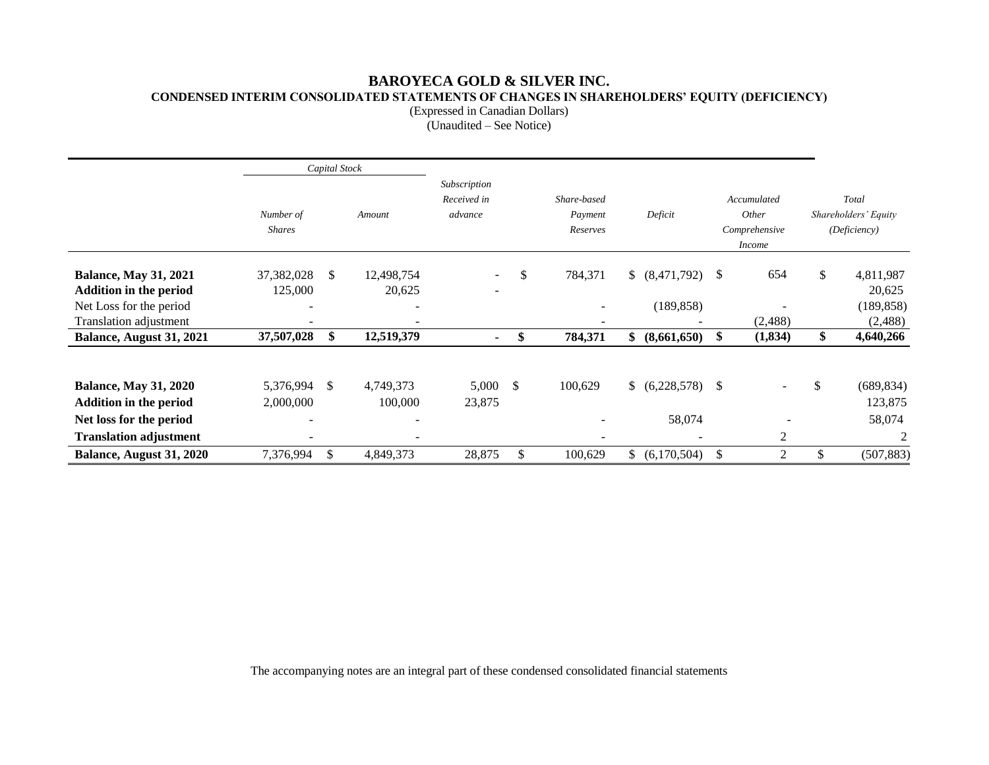# **BAROYECA GOLD & SILVER INC. CONDENSED INTERIM CONSOLIDATED STATEMENTS OF CHANGES IN SHAREHOLDERS' EQUITY (DEFICIENCY)**

(Expressed in Canadian Dollars)

 $\overline{\text{Unaudited}} - \text{See Notice}$ 

|                                                                                                                           |                            | Capital Stock |                           |                                        |    |                                    |                |                             |               |                                                        |     |                                               |
|---------------------------------------------------------------------------------------------------------------------------|----------------------------|---------------|---------------------------|----------------------------------------|----|------------------------------------|----------------|-----------------------------|---------------|--------------------------------------------------------|-----|-----------------------------------------------|
|                                                                                                                           | Number of<br><b>Shares</b> |               | Amount                    | Subscription<br>Received in<br>advance |    | Share-based<br>Payment<br>Reserves |                | Deficit                     |               | Accumulated<br>Other<br>Comprehensive<br><i>Income</i> |     | Total<br>Shareholders' Equity<br>(Deficiency) |
| <b>Balance, May 31, 2021</b><br>Addition in the period<br>Net Loss for the period<br><b>Translation adjustment</b>        | 37,382,028<br>125,000      | \$            | 12,498,754<br>20,625<br>۰ |                                        | \$ | 784,371                            | $\mathbb{S}^-$ | (8, 471, 792)<br>(189, 858) | <sup>\$</sup> | 654<br>(2,488)                                         | \$  | 4,811,987<br>20,625<br>(189, 858)<br>(2,488)  |
| Balance, August 31, 2021                                                                                                  | 37,507,028                 | \$            | 12,519,379                | -                                      | \$ | 784,371                            | \$             | (8,661,650)                 | \$            | (1, 834)                                               | \$  | 4,640,266                                     |
| <b>Balance, May 31, 2020</b><br><b>Addition in the period</b><br>Net loss for the period<br><b>Translation adjustment</b> | 5,376,994<br>2,000,000     | \$            | 4,749,373<br>100,000      | 5,000<br>23,875                        | -S | 100,629                            | $\mathbb{S}^-$ | $(6,228,578)$ \$<br>58,074  |               | 2                                                      | \$  | (689, 834)<br>123,875<br>58,074<br>2          |
| Balance, August 31, 2020                                                                                                  | 7,376,994                  | \$            | 4,849,373                 | 28,875                                 | \$ | 100,629                            | $\mathbb{S}^-$ | (6,170,504)                 | <sup>\$</sup> | 2                                                      | \$. | (507, 883)                                    |

The accompanying notes are an integral part of these condensed consolidated financial statements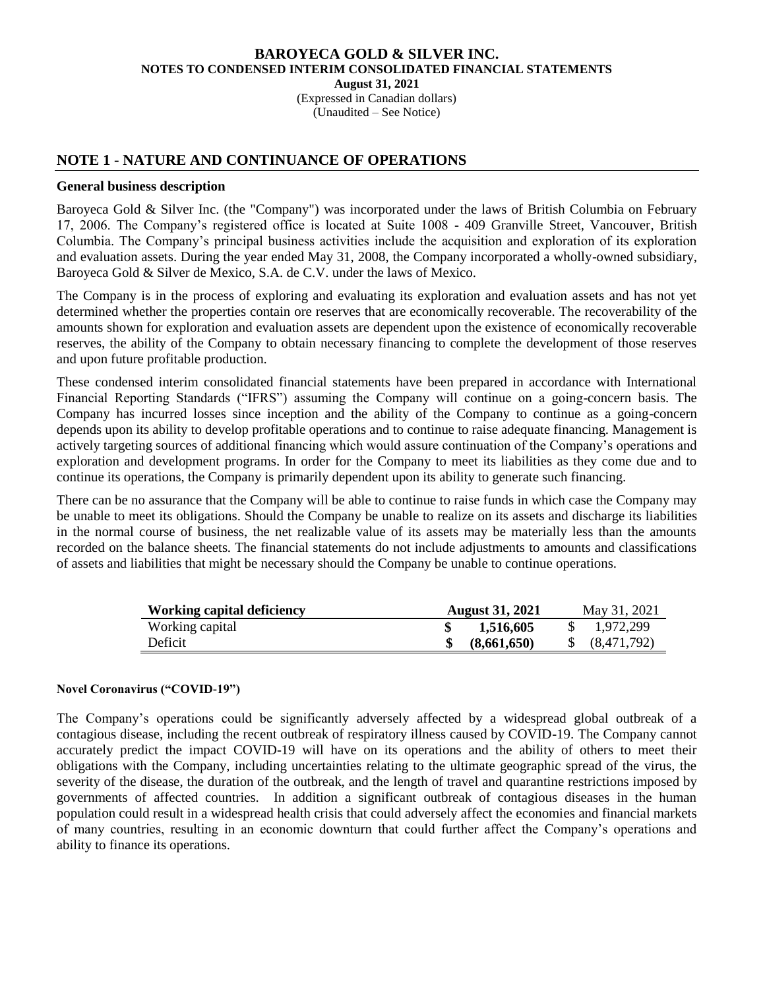(Expressed in Canadian dollars) (Unaudited – See Notice)

# **NOTE 1 - NATURE AND CONTINUANCE OF OPERATIONS**

# **General business description**

Baroyeca Gold & Silver Inc. (the "Company") was incorporated under the laws of British Columbia on February 17, 2006. The Company's registered office is located at Suite 1008 - 409 Granville Street, Vancouver, British Columbia. The Company's principal business activities include the acquisition and exploration of its exploration and evaluation assets. During the year ended May 31, 2008, the Company incorporated a wholly-owned subsidiary, Baroyeca Gold & Silver de Mexico, S.A. de C.V. under the laws of Mexico.

The Company is in the process of exploring and evaluating its exploration and evaluation assets and has not yet determined whether the properties contain ore reserves that are economically recoverable. The recoverability of the amounts shown for exploration and evaluation assets are dependent upon the existence of economically recoverable reserves, the ability of the Company to obtain necessary financing to complete the development of those reserves and upon future profitable production.

These condensed interim consolidated financial statements have been prepared in accordance with International Financial Reporting Standards ("IFRS") assuming the Company will continue on a going-concern basis. The Company has incurred losses since inception and the ability of the Company to continue as a going-concern depends upon its ability to develop profitable operations and to continue to raise adequate financing. Management is actively targeting sources of additional financing which would assure continuation of the Company's operations and exploration and development programs. In order for the Company to meet its liabilities as they come due and to continue its operations, the Company is primarily dependent upon its ability to generate such financing.

There can be no assurance that the Company will be able to continue to raise funds in which case the Company may be unable to meet its obligations. Should the Company be unable to realize on its assets and discharge its liabilities in the normal course of business, the net realizable value of its assets may be materially less than the amounts recorded on the balance sheets. The financial statements do not include adjustments to amounts and classifications of assets and liabilities that might be necessary should the Company be unable to continue operations.

| <b>Working capital deficiency</b> | <b>August 31, 2021</b> | May 31, 2021 |
|-----------------------------------|------------------------|--------------|
| Working capital                   | 1,516,605              | 1.972.299    |
| Deficit                           | (8.661.650)            | (8,471,792)  |

## **Novel Coronavirus ("COVID-19")**

The Company's operations could be significantly adversely affected by a widespread global outbreak of a contagious disease, including the recent outbreak of respiratory illness caused by COVID-19. The Company cannot accurately predict the impact COVID-19 will have on its operations and the ability of others to meet their obligations with the Company, including uncertainties relating to the ultimate geographic spread of the virus, the severity of the disease, the duration of the outbreak, and the length of travel and quarantine restrictions imposed by governments of affected countries. In addition a significant outbreak of contagious diseases in the human population could result in a widespread health crisis that could adversely affect the economies and financial markets of many countries, resulting in an economic downturn that could further affect the Company's operations and ability to finance its operations.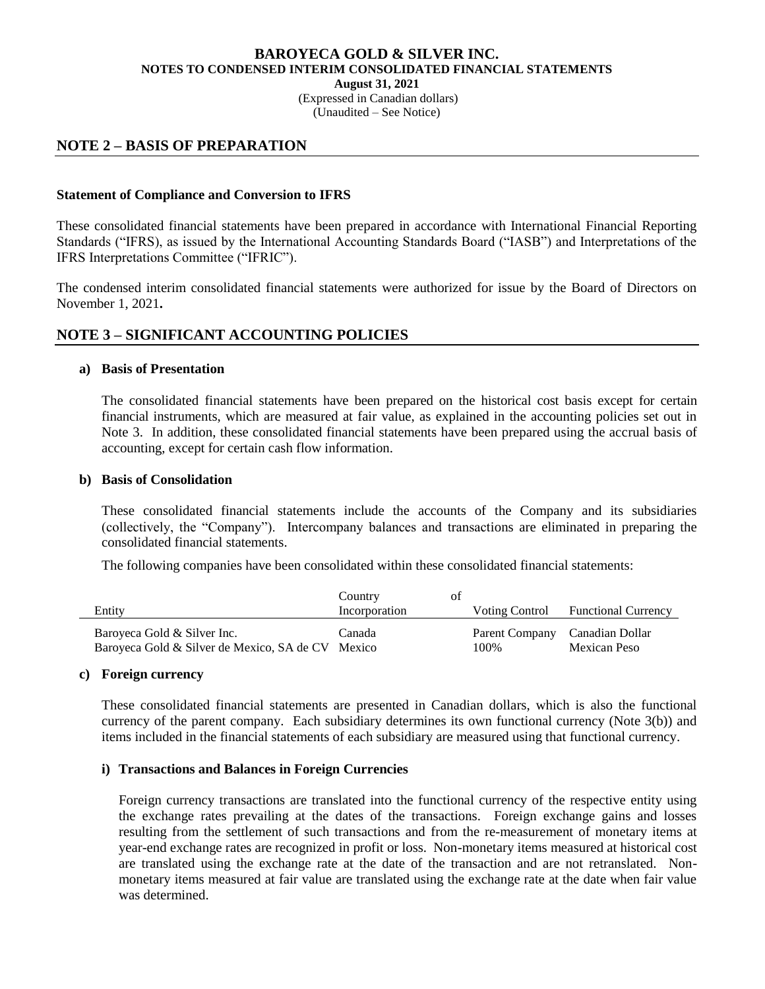(Expressed in Canadian dollars)

(Unaudited – See Notice)

# **NOTE 2 – BASIS OF PREPARATION**

# **Statement of Compliance and Conversion to IFRS**

These consolidated financial statements have been prepared in accordance with International Financial Reporting Standards ("IFRS), as issued by the International Accounting Standards Board ("IASB") and Interpretations of the IFRS Interpretations Committee ("IFRIC").

The condensed interim consolidated financial statements were authorized for issue by the Board of Directors on November 1, 2021**.**

# **NOTE 3 – SIGNIFICANT ACCOUNTING POLICIES**

## **a) Basis of Presentation**

The consolidated financial statements have been prepared on the historical cost basis except for certain financial instruments, which are measured at fair value, as explained in the accounting policies set out in Note 3. In addition, these consolidated financial statements have been prepared using the accrual basis of accounting, except for certain cash flow information.

## **b) Basis of Consolidation**

These consolidated financial statements include the accounts of the Company and its subsidiaries (collectively, the "Company"). Intercompany balances and transactions are eliminated in preparing the consolidated financial statements.

The following companies have been consolidated within these consolidated financial statements:

|                                                                                  | Country       | ΩŤ |                        |                                 |
|----------------------------------------------------------------------------------|---------------|----|------------------------|---------------------------------|
| Entity                                                                           | Incorporation |    | Voting Control         | <b>Functional Currency</b>      |
| Baroyeca Gold & Silver Inc.<br>Baroyeca Gold & Silver de Mexico, SA de CV Mexico | Canada        |    | Parent Company<br>100% | Canadian Dollar<br>Mexican Peso |

## **c) Foreign currency**

These consolidated financial statements are presented in Canadian dollars, which is also the functional currency of the parent company. Each subsidiary determines its own functional currency (Note 3(b)) and items included in the financial statements of each subsidiary are measured using that functional currency.

# **i) Transactions and Balances in Foreign Currencies**

Foreign currency transactions are translated into the functional currency of the respective entity using the exchange rates prevailing at the dates of the transactions. Foreign exchange gains and losses resulting from the settlement of such transactions and from the re-measurement of monetary items at year-end exchange rates are recognized in profit or loss. Non-monetary items measured at historical cost are translated using the exchange rate at the date of the transaction and are not retranslated. Nonmonetary items measured at fair value are translated using the exchange rate at the date when fair value was determined.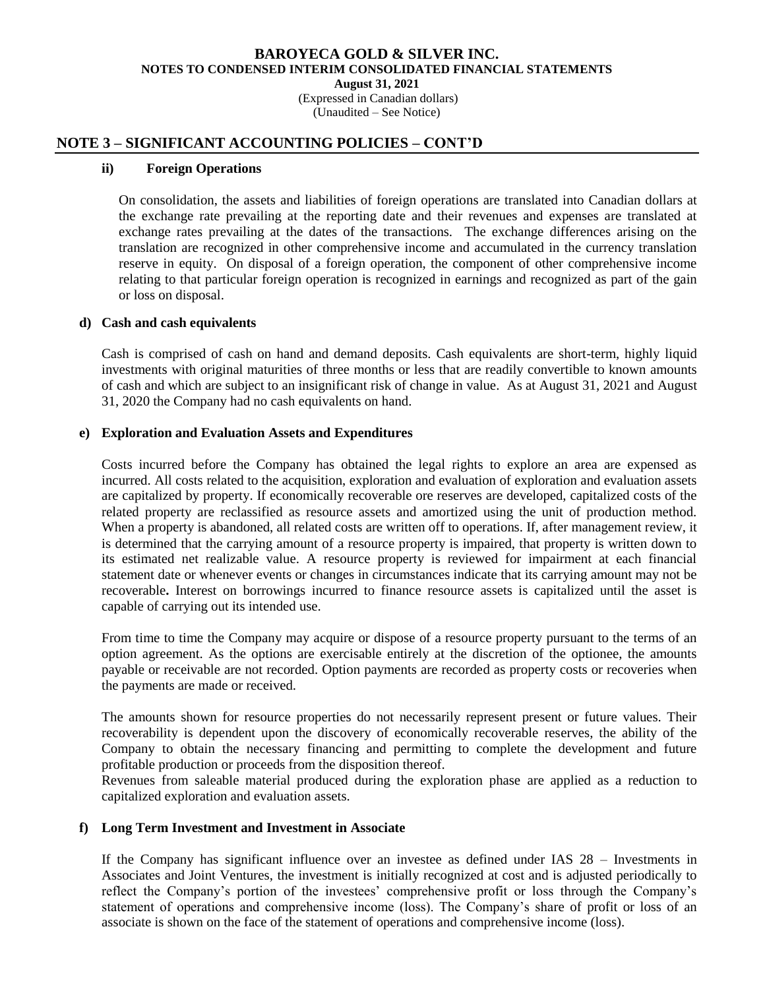(Expressed in Canadian dollars)

(Unaudited – See Notice)

# **NOTE 3 – SIGNIFICANT ACCOUNTING POLICIES – CONT'D**

## **ii) Foreign Operations**

On consolidation, the assets and liabilities of foreign operations are translated into Canadian dollars at the exchange rate prevailing at the reporting date and their revenues and expenses are translated at exchange rates prevailing at the dates of the transactions. The exchange differences arising on the translation are recognized in other comprehensive income and accumulated in the currency translation reserve in equity. On disposal of a foreign operation, the component of other comprehensive income relating to that particular foreign operation is recognized in earnings and recognized as part of the gain or loss on disposal.

## **d) Cash and cash equivalents**

Cash is comprised of cash on hand and demand deposits. Cash equivalents are short-term, highly liquid investments with original maturities of three months or less that are readily convertible to known amounts of cash and which are subject to an insignificant risk of change in value. As at August 31, 2021 and August 31, 2020 the Company had no cash equivalents on hand.

# **e) Exploration and Evaluation Assets and Expenditures**

Costs incurred before the Company has obtained the legal rights to explore an area are expensed as incurred. All costs related to the acquisition, exploration and evaluation of exploration and evaluation assets are capitalized by property. If economically recoverable ore reserves are developed, capitalized costs of the related property are reclassified as resource assets and amortized using the unit of production method. When a property is abandoned, all related costs are written off to operations. If, after management review, it is determined that the carrying amount of a resource property is impaired, that property is written down to its estimated net realizable value. A resource property is reviewed for impairment at each financial statement date or whenever events or changes in circumstances indicate that its carrying amount may not be recoverable**.** Interest on borrowings incurred to finance resource assets is capitalized until the asset is capable of carrying out its intended use.

From time to time the Company may acquire or dispose of a resource property pursuant to the terms of an option agreement. As the options are exercisable entirely at the discretion of the optionee, the amounts payable or receivable are not recorded. Option payments are recorded as property costs or recoveries when the payments are made or received.

The amounts shown for resource properties do not necessarily represent present or future values. Their recoverability is dependent upon the discovery of economically recoverable reserves, the ability of the Company to obtain the necessary financing and permitting to complete the development and future profitable production or proceeds from the disposition thereof.

Revenues from saleable material produced during the exploration phase are applied as a reduction to capitalized exploration and evaluation assets.

## **f) Long Term Investment and Investment in Associate**

If the Company has significant influence over an investee as defined under IAS 28 – Investments in Associates and Joint Ventures, the investment is initially recognized at cost and is adjusted periodically to reflect the Company's portion of the investees' comprehensive profit or loss through the Company's statement of operations and comprehensive income (loss). The Company's share of profit or loss of an associate is shown on the face of the statement of operations and comprehensive income (loss).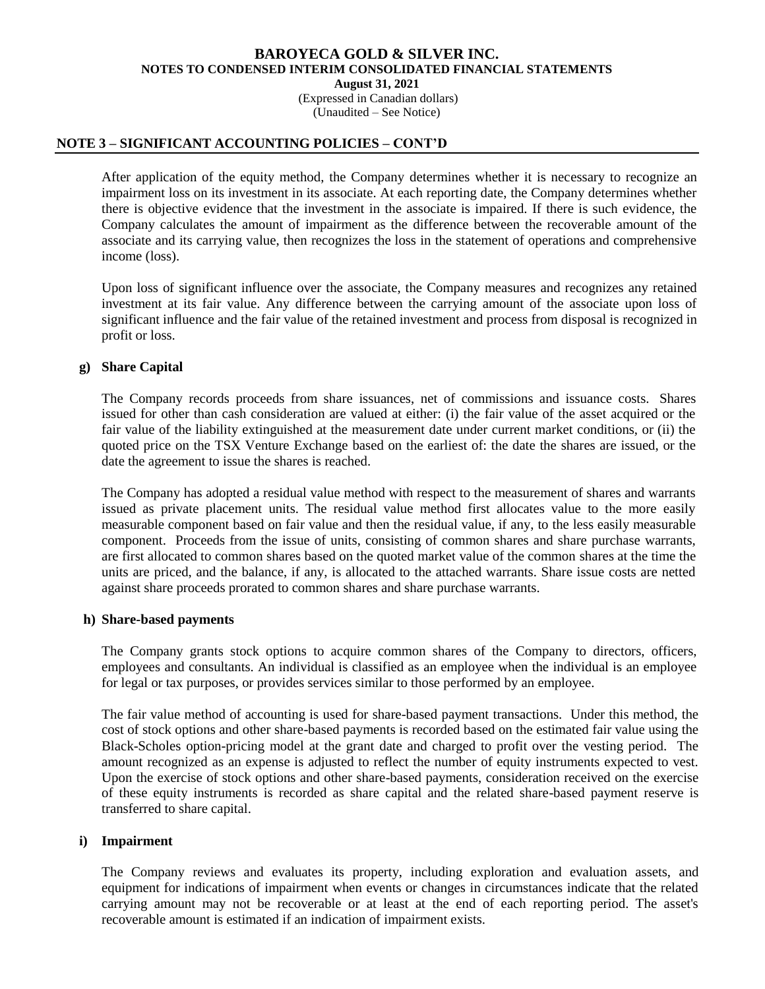(Expressed in Canadian dollars) (Unaudited – See Notice)

## **NOTE 3 – SIGNIFICANT ACCOUNTING POLICIES – CONT'D**

After application of the equity method, the Company determines whether it is necessary to recognize an impairment loss on its investment in its associate. At each reporting date, the Company determines whether there is objective evidence that the investment in the associate is impaired. If there is such evidence, the Company calculates the amount of impairment as the difference between the recoverable amount of the associate and its carrying value, then recognizes the loss in the statement of operations and comprehensive income (loss).

Upon loss of significant influence over the associate, the Company measures and recognizes any retained investment at its fair value. Any difference between the carrying amount of the associate upon loss of significant influence and the fair value of the retained investment and process from disposal is recognized in profit or loss.

# **g) Share Capital**

The Company records proceeds from share issuances, net of commissions and issuance costs. Shares issued for other than cash consideration are valued at either: (i) the fair value of the asset acquired or the fair value of the liability extinguished at the measurement date under current market conditions, or (ii) the quoted price on the TSX Venture Exchange based on the earliest of: the date the shares are issued, or the date the agreement to issue the shares is reached.

The Company has adopted a residual value method with respect to the measurement of shares and warrants issued as private placement units. The residual value method first allocates value to the more easily measurable component based on fair value and then the residual value, if any, to the less easily measurable component. Proceeds from the issue of units, consisting of common shares and share purchase warrants, are first allocated to common shares based on the quoted market value of the common shares at the time the units are priced, and the balance, if any, is allocated to the attached warrants. Share issue costs are netted against share proceeds prorated to common shares and share purchase warrants.

#### **h) Share-based payments**

The Company grants stock options to acquire common shares of the Company to directors, officers, employees and consultants. An individual is classified as an employee when the individual is an employee for legal or tax purposes, or provides services similar to those performed by an employee.

The fair value method of accounting is used for share-based payment transactions. Under this method, the cost of stock options and other share-based payments is recorded based on the estimated fair value using the Black-Scholes option-pricing model at the grant date and charged to profit over the vesting period. The amount recognized as an expense is adjusted to reflect the number of equity instruments expected to vest. Upon the exercise of stock options and other share-based payments, consideration received on the exercise of these equity instruments is recorded as share capital and the related share-based payment reserve is transferred to share capital.

#### **i) Impairment**

The Company reviews and evaluates its property, including exploration and evaluation assets, and equipment for indications of impairment when events or changes in circumstances indicate that the related carrying amount may not be recoverable or at least at the end of each reporting period. The asset's recoverable amount is estimated if an indication of impairment exists.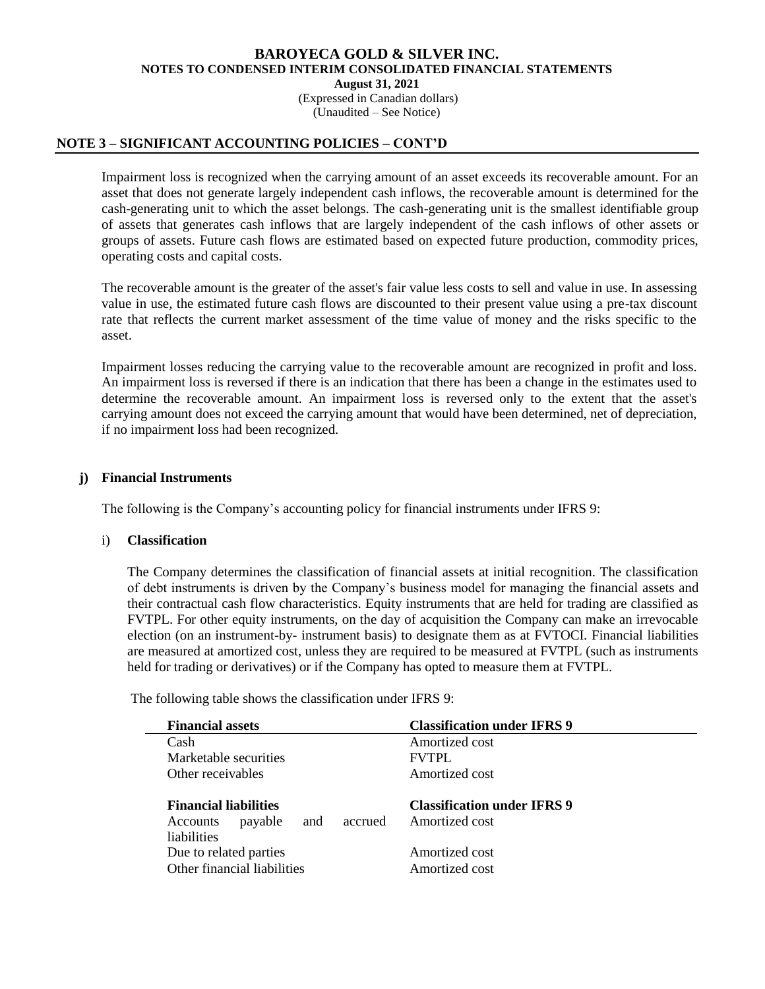(Expressed in Canadian dollars) (Unaudited – See Notice)

## **NOTE 3 – SIGNIFICANT ACCOUNTING POLICIES – CONT'D**

Impairment loss is recognized when the carrying amount of an asset exceeds its recoverable amount. For an asset that does not generate largely independent cash inflows, the recoverable amount is determined for the cash-generating unit to which the asset belongs. The cash-generating unit is the smallest identifiable group of assets that generates cash inflows that are largely independent of the cash inflows of other assets or groups of assets. Future cash flows are estimated based on expected future production, commodity prices, operating costs and capital costs.

The recoverable amount is the greater of the asset's fair value less costs to sell and value in use. In assessing value in use, the estimated future cash flows are discounted to their present value using a pre-tax discount rate that reflects the current market assessment of the time value of money and the risks specific to the asset.

Impairment losses reducing the carrying value to the recoverable amount are recognized in profit and loss. An impairment loss is reversed if there is an indication that there has been a change in the estimates used to determine the recoverable amount. An impairment loss is reversed only to the extent that the asset's carrying amount does not exceed the carrying amount that would have been determined, net of depreciation, if no impairment loss had been recognized.

# **j) Financial Instruments**

The following is the Company's accounting policy for financial instruments under IFRS 9:

## i) **Classification**

The Company determines the classification of financial assets at initial recognition. The classification of debt instruments is driven by the Company's business model for managing the financial assets and their contractual cash flow characteristics. Equity instruments that are held for trading are classified as FVTPL. For other equity instruments, on the day of acquisition the Company can make an irrevocable election (on an instrument-by- instrument basis) to designate them as at FVTOCI. Financial liabilities are measured at amortized cost, unless they are required to be measured at FVTPL (such as instruments held for trading or derivatives) or if the Company has opted to measure them at FVTPL.

| <b>Financial assets</b>                                                                     | <b>Classification under IFRS 9</b>                   |
|---------------------------------------------------------------------------------------------|------------------------------------------------------|
| Cash                                                                                        | Amortized cost                                       |
| Marketable securities                                                                       | <b>FVTPL</b>                                         |
| Other receivables                                                                           | Amortized cost                                       |
| <b>Financial liabilities</b><br>accrued<br>and<br>payable<br>Accounts<br><i>liabilities</i> | <b>Classification under IFRS 9</b><br>Amortized cost |
| Due to related parties<br>Other financial liabilities                                       | Amortized cost<br>Amortized cost                     |

The following table shows the classification under IFRS 9: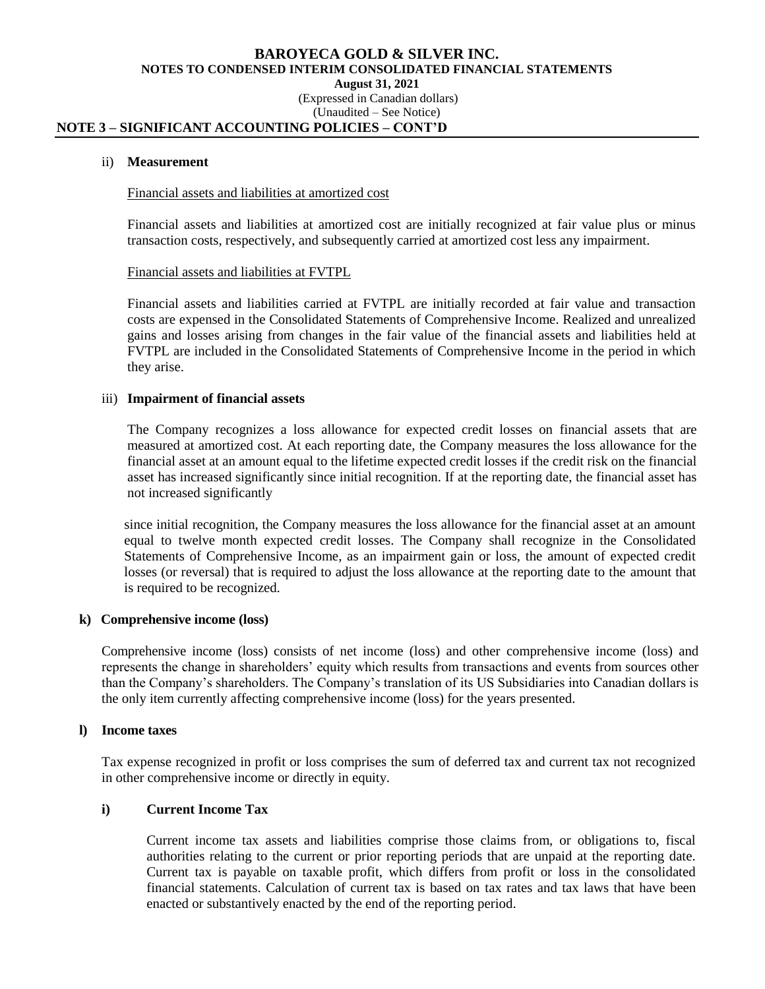#### **BAROYECA GOLD & SILVER INC. NOTES TO CONDENSED INTERIM CONSOLIDATED FINANCIAL STATEMENTS August 31, 2021** (Expressed in Canadian dollars) (Unaudited – See Notice)

# **NOTE 3 – SIGNIFICANT ACCOUNTING POLICIES – CONT'D**

#### ii) **Measurement**

#### Financial assets and liabilities at amortized cost

Financial assets and liabilities at amortized cost are initially recognized at fair value plus or minus transaction costs, respectively, and subsequently carried at amortized cost less any impairment.

#### Financial assets and liabilities at FVTPL

Financial assets and liabilities carried at FVTPL are initially recorded at fair value and transaction costs are expensed in the Consolidated Statements of Comprehensive Income. Realized and unrealized gains and losses arising from changes in the fair value of the financial assets and liabilities held at FVTPL are included in the Consolidated Statements of Comprehensive Income in the period in which they arise.

#### iii) **Impairment of financial assets**

The Company recognizes a loss allowance for expected credit losses on financial assets that are measured at amortized cost. At each reporting date, the Company measures the loss allowance for the financial asset at an amount equal to the lifetime expected credit losses if the credit risk on the financial asset has increased significantly since initial recognition. If at the reporting date, the financial asset has not increased significantly

since initial recognition, the Company measures the loss allowance for the financial asset at an amount equal to twelve month expected credit losses. The Company shall recognize in the Consolidated Statements of Comprehensive Income, as an impairment gain or loss, the amount of expected credit losses (or reversal) that is required to adjust the loss allowance at the reporting date to the amount that is required to be recognized.

## **k) Comprehensive income (loss)**

Comprehensive income (loss) consists of net income (loss) and other comprehensive income (loss) and represents the change in shareholders' equity which results from transactions and events from sources other than the Company's shareholders. The Company's translation of its US Subsidiaries into Canadian dollars is the only item currently affecting comprehensive income (loss) for the years presented.

#### **l) Income taxes**

Tax expense recognized in profit or loss comprises the sum of deferred tax and current tax not recognized in other comprehensive income or directly in equity.

## **i) Current Income Tax**

Current income tax assets and liabilities comprise those claims from, or obligations to, fiscal authorities relating to the current or prior reporting periods that are unpaid at the reporting date. Current tax is payable on taxable profit, which differs from profit or loss in the consolidated financial statements. Calculation of current tax is based on tax rates and tax laws that have been enacted or substantively enacted by the end of the reporting period.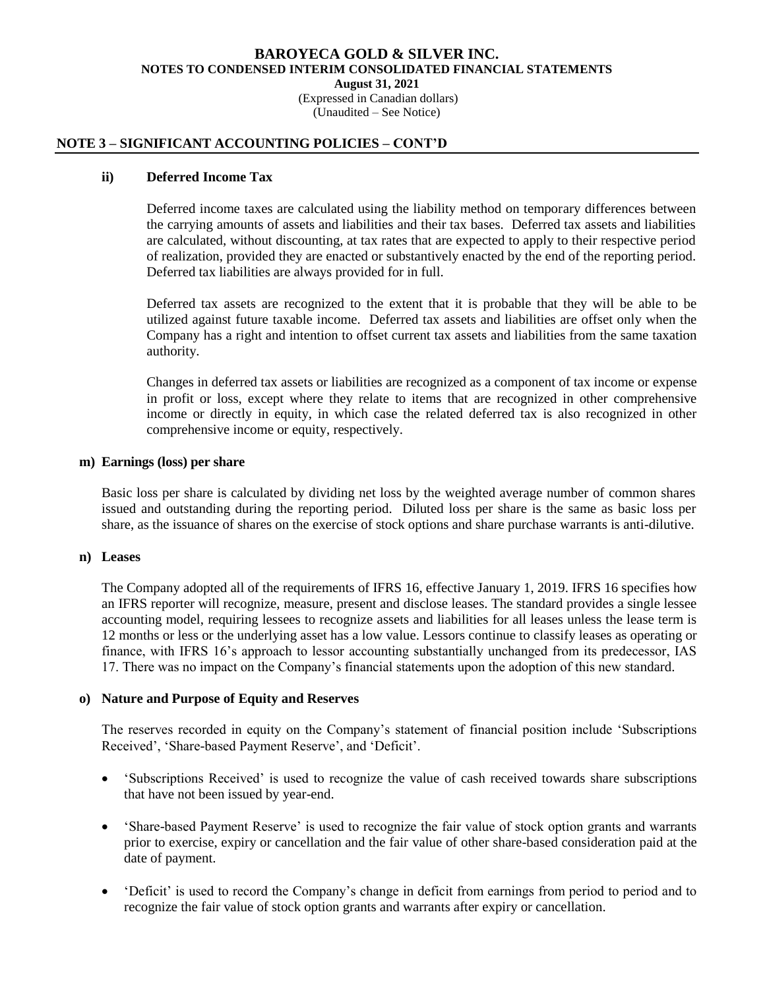(Expressed in Canadian dollars) (Unaudited – See Notice)

## **NOTE 3 – SIGNIFICANT ACCOUNTING POLICIES – CONT'D**

## **ii) Deferred Income Tax**

Deferred income taxes are calculated using the liability method on temporary differences between the carrying amounts of assets and liabilities and their tax bases. Deferred tax assets and liabilities are calculated, without discounting, at tax rates that are expected to apply to their respective period of realization, provided they are enacted or substantively enacted by the end of the reporting period. Deferred tax liabilities are always provided for in full.

Deferred tax assets are recognized to the extent that it is probable that they will be able to be utilized against future taxable income. Deferred tax assets and liabilities are offset only when the Company has a right and intention to offset current tax assets and liabilities from the same taxation authority.

Changes in deferred tax assets or liabilities are recognized as a component of tax income or expense in profit or loss, except where they relate to items that are recognized in other comprehensive income or directly in equity, in which case the related deferred tax is also recognized in other comprehensive income or equity, respectively.

## **m) Earnings (loss) per share**

Basic loss per share is calculated by dividing net loss by the weighted average number of common shares issued and outstanding during the reporting period. Diluted loss per share is the same as basic loss per share, as the issuance of shares on the exercise of stock options and share purchase warrants is anti-dilutive.

# **n) Leases**

The Company adopted all of the requirements of IFRS 16, effective January 1, 2019. IFRS 16 specifies how an IFRS reporter will recognize, measure, present and disclose leases. The standard provides a single lessee accounting model, requiring lessees to recognize assets and liabilities for all leases unless the lease term is 12 months or less or the underlying asset has a low value. Lessors continue to classify leases as operating or finance, with IFRS 16's approach to lessor accounting substantially unchanged from its predecessor, IAS 17. There was no impact on the Company's financial statements upon the adoption of this new standard.

## **o) Nature and Purpose of Equity and Reserves**

The reserves recorded in equity on the Company's statement of financial position include 'Subscriptions Received', 'Share-based Payment Reserve', and 'Deficit'.

- 'Subscriptions Received' is used to recognize the value of cash received towards share subscriptions that have not been issued by year-end.
- 'Share-based Payment Reserve' is used to recognize the fair value of stock option grants and warrants prior to exercise, expiry or cancellation and the fair value of other share-based consideration paid at the date of payment.
- 'Deficit' is used to record the Company's change in deficit from earnings from period to period and to recognize the fair value of stock option grants and warrants after expiry or cancellation.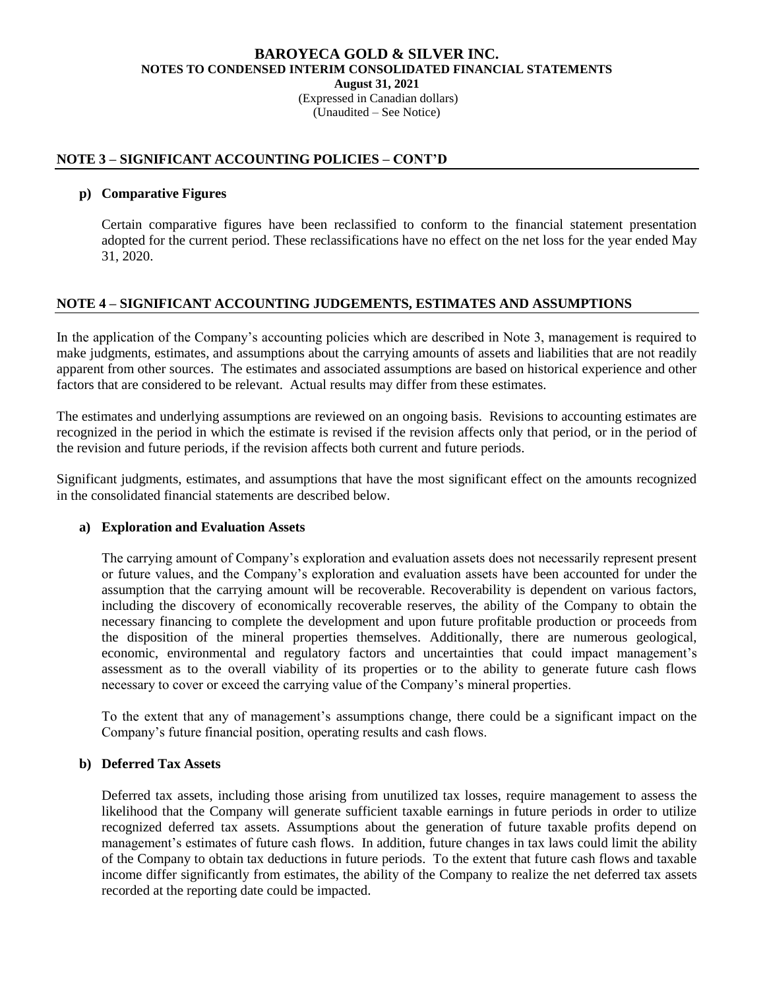# **BAROYECA GOLD & SILVER INC. NOTES TO CONDENSED INTERIM CONSOLIDATED FINANCIAL STATEMENTS August 31, 2021** (Expressed in Canadian dollars)

(Unaudited – See Notice)

# **NOTE 3 – SIGNIFICANT ACCOUNTING POLICIES – CONT'D**

# **p) Comparative Figures**

Certain comparative figures have been reclassified to conform to the financial statement presentation adopted for the current period. These reclassifications have no effect on the net loss for the year ended May 31, 2020.

# **NOTE 4 – SIGNIFICANT ACCOUNTING JUDGEMENTS, ESTIMATES AND ASSUMPTIONS**

In the application of the Company's accounting policies which are described in Note 3, management is required to make judgments, estimates, and assumptions about the carrying amounts of assets and liabilities that are not readily apparent from other sources. The estimates and associated assumptions are based on historical experience and other factors that are considered to be relevant. Actual results may differ from these estimates.

The estimates and underlying assumptions are reviewed on an ongoing basis. Revisions to accounting estimates are recognized in the period in which the estimate is revised if the revision affects only that period, or in the period of the revision and future periods, if the revision affects both current and future periods.

Significant judgments, estimates, and assumptions that have the most significant effect on the amounts recognized in the consolidated financial statements are described below.

## **a) Exploration and Evaluation Assets**

The carrying amount of Company's exploration and evaluation assets does not necessarily represent present or future values, and the Company's exploration and evaluation assets have been accounted for under the assumption that the carrying amount will be recoverable. Recoverability is dependent on various factors, including the discovery of economically recoverable reserves, the ability of the Company to obtain the necessary financing to complete the development and upon future profitable production or proceeds from the disposition of the mineral properties themselves. Additionally, there are numerous geological, economic, environmental and regulatory factors and uncertainties that could impact management's assessment as to the overall viability of its properties or to the ability to generate future cash flows necessary to cover or exceed the carrying value of the Company's mineral properties.

To the extent that any of management's assumptions change, there could be a significant impact on the Company's future financial position, operating results and cash flows.

## **b) Deferred Tax Assets**

Deferred tax assets, including those arising from unutilized tax losses, require management to assess the likelihood that the Company will generate sufficient taxable earnings in future periods in order to utilize recognized deferred tax assets. Assumptions about the generation of future taxable profits depend on management's estimates of future cash flows. In addition, future changes in tax laws could limit the ability of the Company to obtain tax deductions in future periods. To the extent that future cash flows and taxable income differ significantly from estimates, the ability of the Company to realize the net deferred tax assets recorded at the reporting date could be impacted.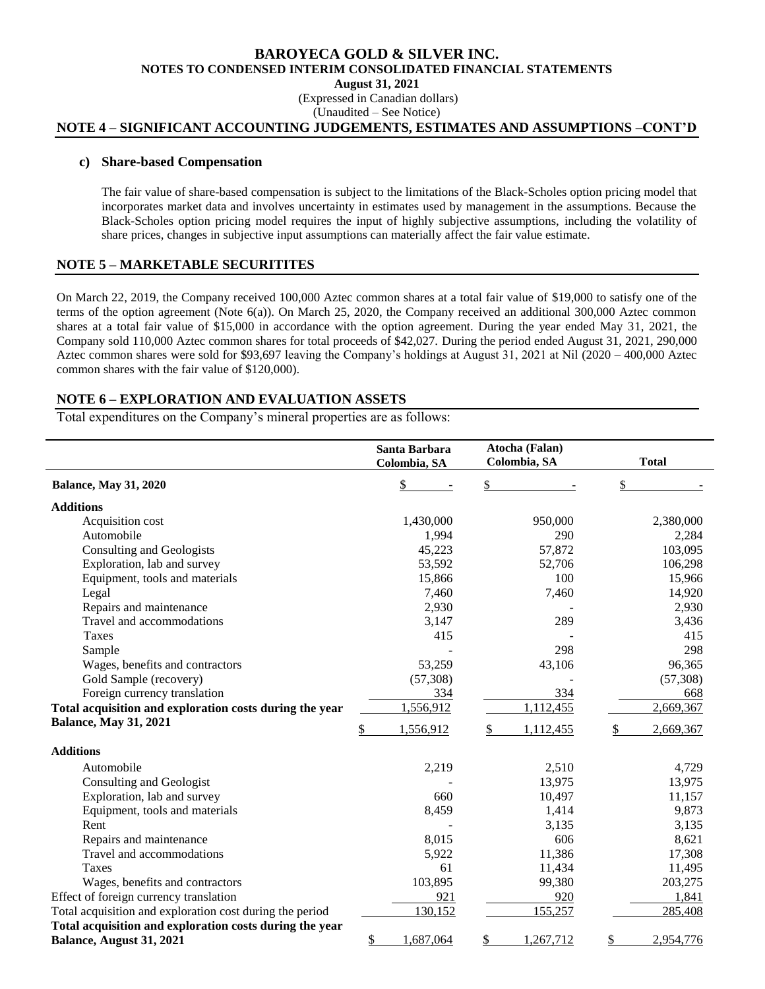(Expressed in Canadian dollars) (Unaudited – See Notice)

# **NOTE 4 – SIGNIFICANT ACCOUNTING JUDGEMENTS, ESTIMATES AND ASSUMPTIONS –CONT'D**

#### **c) Share-based Compensation**

The fair value of share-based compensation is subject to the limitations of the Black-Scholes option pricing model that incorporates market data and involves uncertainty in estimates used by management in the assumptions. Because the Black-Scholes option pricing model requires the input of highly subjective assumptions, including the volatility of share prices, changes in subjective input assumptions can materially affect the fair value estimate.

# **NOTE 5 – MARKETABLE SECURITITES**

On March 22, 2019, the Company received 100,000 Aztec common shares at a total fair value of \$19,000 to satisfy one of the terms of the option agreement (Note 6(a)). On March 25, 2020, the Company received an additional 300,000 Aztec common shares at a total fair value of \$15,000 in accordance with the option agreement. During the year ended May 31, 2021, the Company sold 110,000 Aztec common shares for total proceeds of \$42,027. During the period ended August 31, 2021, 290,000 Aztec common shares were sold for \$93,697 leaving the Company's holdings at August 31, 2021 at Nil (2020 – 400,000 Aztec common shares with the fair value of \$120,000).

## **NOTE 6 – EXPLORATION AND EVALUATION ASSETS**

Total expenditures on the Company's mineral properties are as follows:

|                                                          | Santa Barbara<br>Colombia, SA | Atocha (Falan)<br>Colombia, SA | <b>Total</b>   |
|----------------------------------------------------------|-------------------------------|--------------------------------|----------------|
| <b>Balance, May 31, 2020</b>                             | \$                            | \$                             | \$             |
| <b>Additions</b>                                         |                               |                                |                |
| Acquisition cost                                         | 1,430,000                     | 950,000                        | 2,380,000      |
| Automobile                                               | 1,994                         | 290                            | 2,284          |
| Consulting and Geologists                                | 45,223                        | 57,872                         | 103,095        |
| Exploration, lab and survey                              | 53,592                        | 52,706                         | 106,298        |
| Equipment, tools and materials                           | 15,866                        | 100                            | 15,966         |
| Legal                                                    | 7,460                         | 7,460                          | 14,920         |
| Repairs and maintenance                                  | 2,930                         |                                | 2,930          |
| Travel and accommodations                                | 3,147                         | 289                            | 3,436          |
| Taxes                                                    | 415                           |                                | 415            |
| Sample                                                   |                               | 298                            | 298            |
| Wages, benefits and contractors                          | 53,259                        | 43,106                         | 96,365         |
| Gold Sample (recovery)                                   | (57, 308)                     |                                | (57, 308)      |
| Foreign currency translation                             | 334                           | 334                            | 668            |
| Total acquisition and exploration costs during the year  | 1,556,912                     | 1,112,455                      | 2,669,367      |
| <b>Balance, May 31, 2021</b>                             |                               |                                |                |
|                                                          | 1,556,912<br>S                | 1,112,455<br>S                 | 2,669,367<br>S |
| <b>Additions</b>                                         |                               |                                |                |
| Automobile                                               | 2,219                         | 2,510                          | 4,729          |
| Consulting and Geologist                                 |                               | 13,975                         | 13,975         |
| Exploration, lab and survey                              | 660                           | 10,497                         | 11,157         |
| Equipment, tools and materials                           | 8,459                         | 1,414                          | 9,873          |
| Rent                                                     |                               | 3,135                          | 3,135          |
| Repairs and maintenance                                  | 8,015                         | 606                            | 8,621          |
| Travel and accommodations                                | 5,922                         | 11,386                         | 17,308         |
| <b>Taxes</b>                                             | 61                            | 11,434                         | 11,495         |
| Wages, benefits and contractors                          | 103,895                       | 99,380                         | 203,275        |
| Effect of foreign currency translation                   | 921                           | 920                            | 1,841          |
| Total acquisition and exploration cost during the period | 130,152                       | 155,257                        | 285,408        |
| Total acquisition and exploration costs during the year  |                               |                                |                |
| Balance, August 31, 2021                                 | 1,687,064<br>\$               | 1,267,712<br>S                 | 2,954,776      |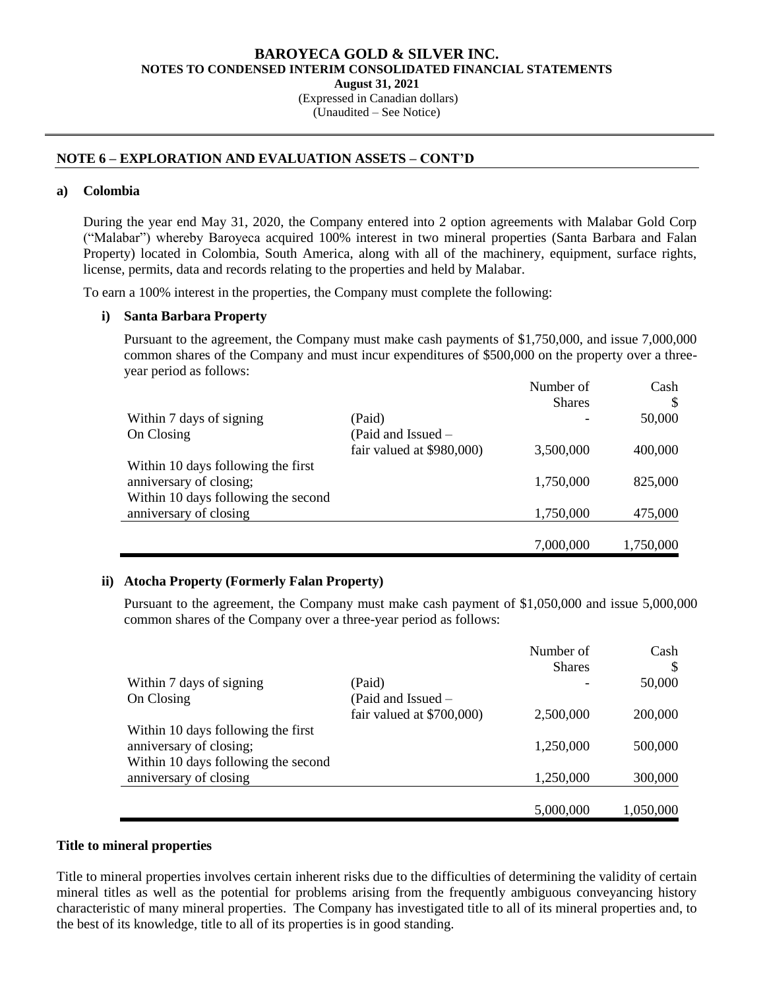**August 31, 2021**

(Expressed in Canadian dollars) (Unaudited – See Notice)

# **NOTE 6 – EXPLORATION AND EVALUATION ASSETS – CONT'D**

## **a) Colombia**

During the year end May 31, 2020, the Company entered into 2 option agreements with Malabar Gold Corp ("Malabar") whereby Baroyeca acquired 100% interest in two mineral properties (Santa Barbara and Falan Property) located in Colombia, South America, along with all of the machinery, equipment, surface rights, license, permits, data and records relating to the properties and held by Malabar.

To earn a 100% interest in the properties, the Company must complete the following:

# **i) Santa Barbara Property**

Pursuant to the agreement, the Company must make cash payments of \$1,750,000, and issue 7,000,000 common shares of the Company and must incur expenditures of \$500,000 on the property over a threeyear period as follows:

|                                     |                           | Number of     | Cash      |
|-------------------------------------|---------------------------|---------------|-----------|
|                                     |                           | <b>Shares</b> | S         |
| Within 7 days of signing            | (Paid)                    |               | 50,000    |
| On Closing                          | (Paid and Issued –        |               |           |
|                                     | fair valued at \$980,000) | 3,500,000     | 400,000   |
| Within 10 days following the first  |                           |               |           |
| anniversary of closing;             |                           | 1,750,000     | 825,000   |
| Within 10 days following the second |                           |               |           |
| anniversary of closing              |                           | 1,750,000     | 475,000   |
|                                     |                           |               |           |
|                                     |                           | 7,000,000     | 1,750,000 |

# **ii) Atocha Property (Formerly Falan Property)**

Pursuant to the agreement, the Company must make cash payment of \$1,050,000 and issue 5,000,000 common shares of the Company over a three-year period as follows:

|                                     |                           | Number of<br><b>Shares</b> | Cash<br>S |
|-------------------------------------|---------------------------|----------------------------|-----------|
| Within 7 days of signing            | (Paid)                    |                            | 50,000    |
| On Closing                          | (Paid and Issued –        |                            |           |
|                                     | fair valued at \$700,000) | 2,500,000                  | 200,000   |
| Within 10 days following the first  |                           |                            |           |
| anniversary of closing;             |                           | 1,250,000                  | 500,000   |
| Within 10 days following the second |                           |                            |           |
| anniversary of closing              |                           | 1,250,000                  | 300,000   |
|                                     |                           |                            |           |
|                                     |                           | 5,000,000                  | 1,050,000 |

## **Title to mineral properties**

Title to mineral properties involves certain inherent risks due to the difficulties of determining the validity of certain mineral titles as well as the potential for problems arising from the frequently ambiguous conveyancing history characteristic of many mineral properties. The Company has investigated title to all of its mineral properties and, to the best of its knowledge, title to all of its properties is in good standing.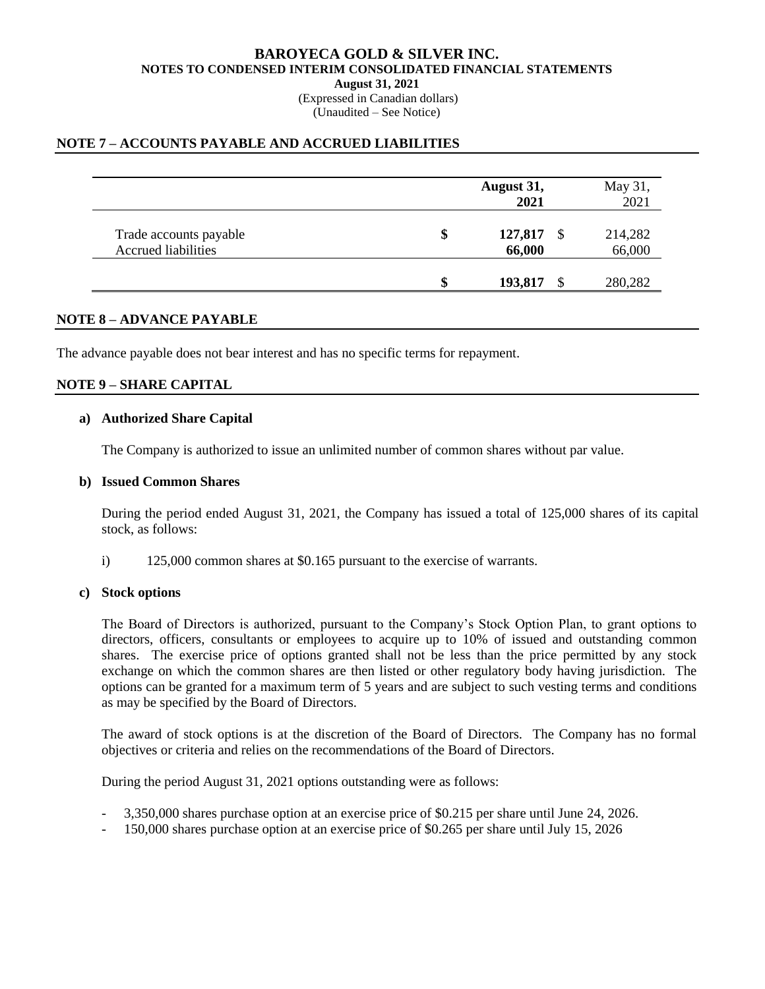(Expressed in Canadian dollars) (Unaudited – See Notice)

# **NOTE 7 – ACCOUNTS PAYABLE AND ACCRUED LIABILITIES**

|                                                      |    | August 31,<br>2021 | May 31,<br>2021         |
|------------------------------------------------------|----|--------------------|-------------------------|
| Trade accounts payable<br><b>Accrued liabilities</b> | \$ | 127,817<br>66,000  | \$<br>214,282<br>66,000 |
|                                                      | ¢  | 193,817            | 280,282                 |

## **NOTE 8 – ADVANCE PAYABLE**

The advance payable does not bear interest and has no specific terms for repayment.

# **NOTE 9 – SHARE CAPITAL**

# **a) Authorized Share Capital**

The Company is authorized to issue an unlimited number of common shares without par value.

## **b) Issued Common Shares**

During the period ended August 31, 2021, the Company has issued a total of 125,000 shares of its capital stock, as follows:

i) 125,000 common shares at \$0.165 pursuant to the exercise of warrants.

## **c) Stock options**

The Board of Directors is authorized, pursuant to the Company's Stock Option Plan, to grant options to directors, officers, consultants or employees to acquire up to 10% of issued and outstanding common shares. The exercise price of options granted shall not be less than the price permitted by any stock exchange on which the common shares are then listed or other regulatory body having jurisdiction. The options can be granted for a maximum term of 5 years and are subject to such vesting terms and conditions as may be specified by the Board of Directors.

The award of stock options is at the discretion of the Board of Directors. The Company has no formal objectives or criteria and relies on the recommendations of the Board of Directors.

During the period August 31, 2021 options outstanding were as follows:

- 3,350,000 shares purchase option at an exercise price of \$0.215 per share until June 24, 2026.
- 150,000 shares purchase option at an exercise price of \$0.265 per share until July 15, 2026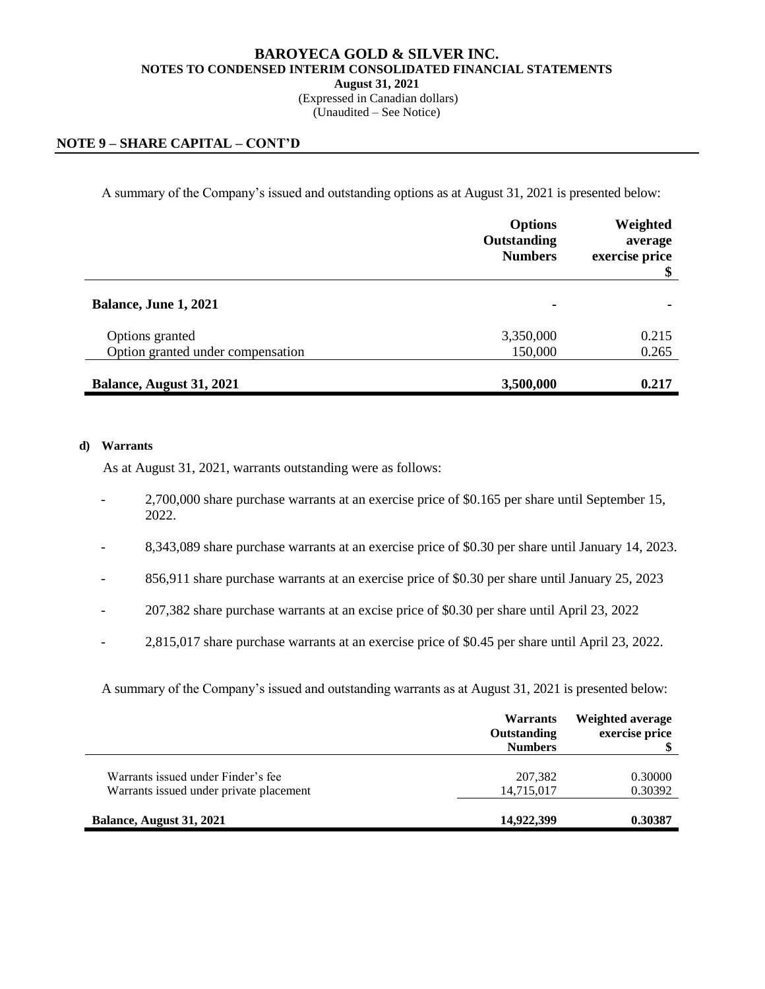(Expressed in Canadian dollars) (Unaudited – See Notice)

# **NOTE 9 – SHARE CAPITAL – CONT'D**

A summary of the Company's issued and outstanding options as at August 31, 2021 is presented below:

|                                   | <b>Options</b><br>Outstanding<br><b>Numbers</b> | Weighted<br>average<br>exercise price<br>\$ |
|-----------------------------------|-------------------------------------------------|---------------------------------------------|
| Balance, June 1, 2021             | ۰                                               |                                             |
| Options granted                   | 3,350,000                                       | 0.215                                       |
| Option granted under compensation | 150,000                                         | 0.265                                       |
| Balance, August 31, 2021          | 3,500,000                                       | 0.217                                       |

## **d) Warrants**

As at August 31, 2021, warrants outstanding were as follows:

- 2,700,000 share purchase warrants at an exercise price of \$0.165 per share until September 15, 2022.
- 8,343,089 share purchase warrants at an exercise price of \$0.30 per share until January 14, 2023.
- 856,911 share purchase warrants at an exercise price of \$0.30 per share until January 25, 2023
- 207,382 share purchase warrants at an excise price of \$0.30 per share until April 23, 2022
- 2,815,017 share purchase warrants at an exercise price of \$0.45 per share until April 23, 2022.

A summary of the Company's issued and outstanding warrants as at August 31, 2021 is presented below:

|                                         | <b>Warrants</b><br><b>Outstanding</b><br><b>Numbers</b> | Weighted average<br>exercise price |
|-----------------------------------------|---------------------------------------------------------|------------------------------------|
| Warrants issued under Finder's fee      | 207.382                                                 | 0.30000                            |
| Warrants issued under private placement | 14,715,017                                              | 0.30392                            |
| Balance, August 31, 2021                | 14,922,399                                              | 0.30387                            |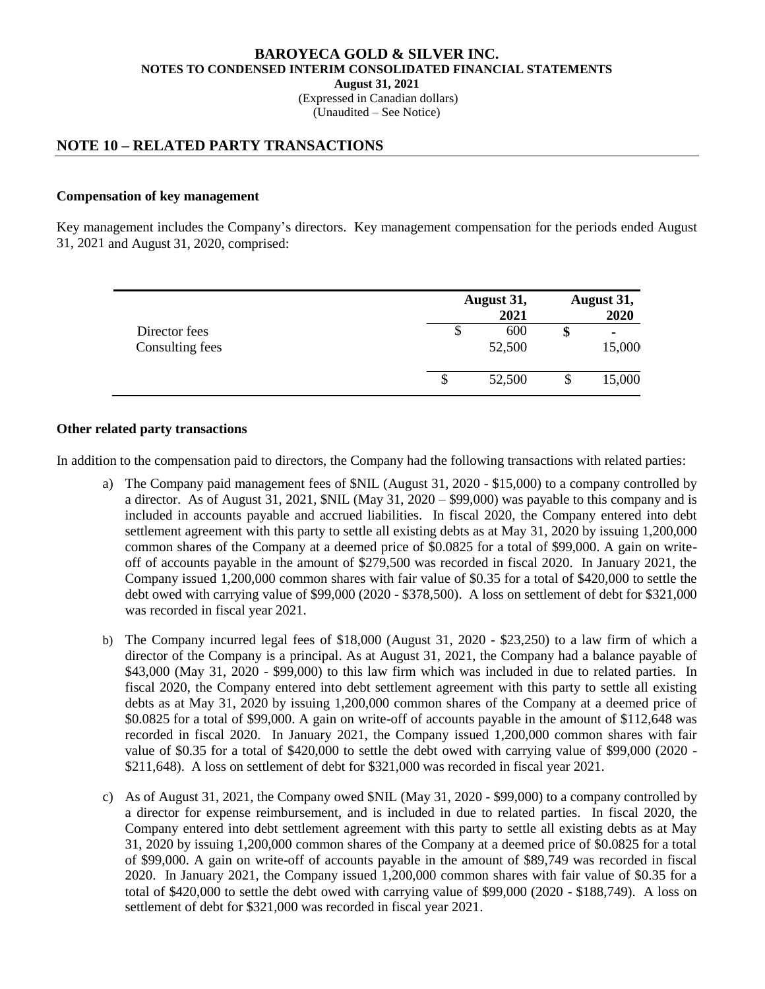# **BAROYECA GOLD & SILVER INC. NOTES TO CONDENSED INTERIM CONSOLIDATED FINANCIAL STATEMENTS August 31, 2021** (Expressed in Canadian dollars)

# (Unaudited – See Notice)

# **NOTE 10 – RELATED PARTY TRANSACTIONS**

# **Compensation of key management**

Key management includes the Company's directors. Key management compensation for the periods ended August 31, 2021 and August 31, 2020, comprised:

|                                  | August 31,<br>2021  | August 31,<br>2020 |
|----------------------------------|---------------------|--------------------|
| Director fees<br>Consulting fees | 600<br>\$<br>52,500 | ۰<br>15,000        |
|                                  | 52,500<br>S         | \$<br>15,000       |

# **Other related party transactions**

In addition to the compensation paid to directors, the Company had the following transactions with related parties:

- a) The Company paid management fees of \$NIL (August 31, 2020 \$15,000) to a company controlled by a director. As of August 31, 2021, \$NIL (May 31, 2020 – \$99,000) was payable to this company and is included in accounts payable and accrued liabilities. In fiscal 2020, the Company entered into debt settlement agreement with this party to settle all existing debts as at May 31, 2020 by issuing 1,200,000 common shares of the Company at a deemed price of \$0.0825 for a total of \$99,000. A gain on writeoff of accounts payable in the amount of \$279,500 was recorded in fiscal 2020. In January 2021, the Company issued 1,200,000 common shares with fair value of \$0.35 for a total of \$420,000 to settle the debt owed with carrying value of \$99,000 (2020 - \$378,500). A loss on settlement of debt for \$321,000 was recorded in fiscal year 2021.
- b) The Company incurred legal fees of \$18,000 (August 31, 2020 \$23,250) to a law firm of which a director of the Company is a principal. As at August 31, 2021, the Company had a balance payable of \$43,000 (May 31, 2020 - \$99,000) to this law firm which was included in due to related parties. In fiscal 2020, the Company entered into debt settlement agreement with this party to settle all existing debts as at May 31, 2020 by issuing 1,200,000 common shares of the Company at a deemed price of \$0.0825 for a total of \$99,000. A gain on write-off of accounts payable in the amount of \$112,648 was recorded in fiscal 2020. In January 2021, the Company issued 1,200,000 common shares with fair value of \$0.35 for a total of \$420,000 to settle the debt owed with carrying value of \$99,000 (2020 - \$211,648). A loss on settlement of debt for \$321,000 was recorded in fiscal year 2021.
- c) As of August 31, 2021, the Company owed \$NIL (May 31, 2020 \$99,000) to a company controlled by a director for expense reimbursement, and is included in due to related parties. In fiscal 2020, the Company entered into debt settlement agreement with this party to settle all existing debts as at May 31, 2020 by issuing 1,200,000 common shares of the Company at a deemed price of \$0.0825 for a total of \$99,000. A gain on write-off of accounts payable in the amount of \$89,749 was recorded in fiscal 2020. In January 2021, the Company issued 1,200,000 common shares with fair value of \$0.35 for a total of \$420,000 to settle the debt owed with carrying value of \$99,000 (2020 - \$188,749). A loss on settlement of debt for \$321,000 was recorded in fiscal year 2021.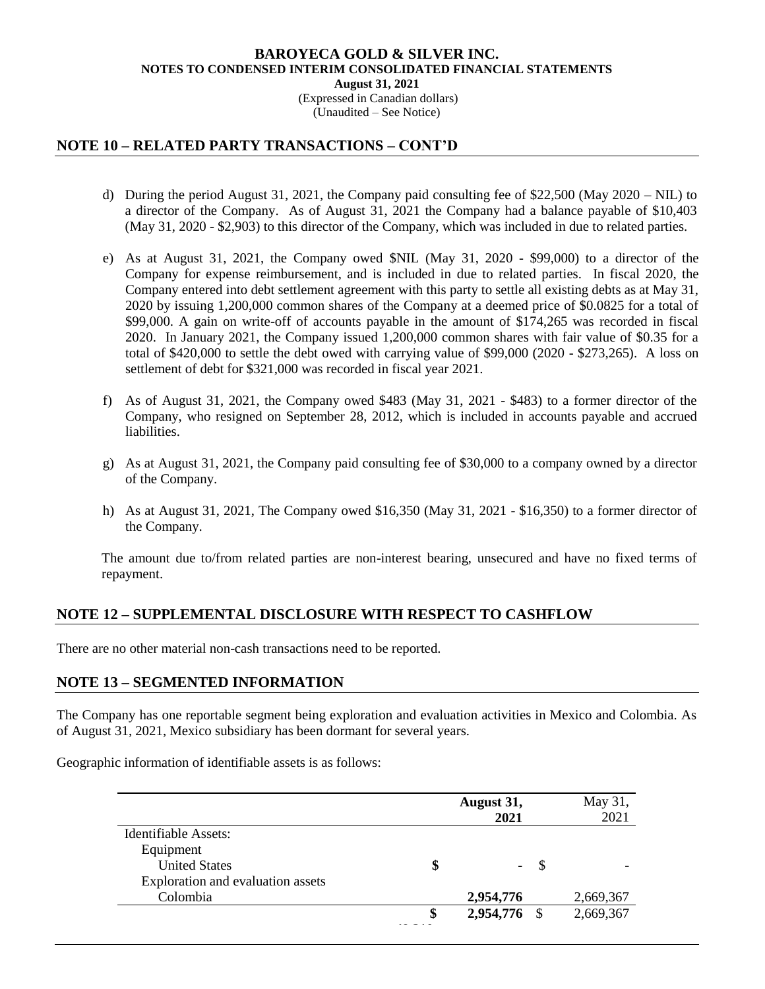(Expressed in Canadian dollars) (Unaudited – See Notice)

# **NOTE 10 – RELATED PARTY TRANSACTIONS – CONT'D**

- d) During the period August 31, 2021, the Company paid consulting fee of \$22,500 (May 2020 NIL) to a director of the Company. As of August 31, 2021 the Company had a balance payable of \$10,403 (May 31, 2020 - \$2,903) to this director of the Company, which was included in due to related parties.
- e) As at August 31, 2021, the Company owed \$NIL (May 31, 2020 \$99,000) to a director of the Company for expense reimbursement, and is included in due to related parties. In fiscal 2020, the Company entered into debt settlement agreement with this party to settle all existing debts as at May 31, 2020 by issuing 1,200,000 common shares of the Company at a deemed price of \$0.0825 for a total of \$99,000. A gain on write-off of accounts payable in the amount of \$174,265 was recorded in fiscal 2020. In January 2021, the Company issued 1,200,000 common shares with fair value of \$0.35 for a total of \$420,000 to settle the debt owed with carrying value of \$99,000 (2020 - \$273,265). A loss on settlement of debt for \$321,000 was recorded in fiscal year 2021.
- f) As of August 31, 2021, the Company owed \$483 (May 31, 2021 \$483) to a former director of the Company, who resigned on September 28, 2012, which is included in accounts payable and accrued liabilities.
- g) As at August 31, 2021, the Company paid consulting fee of \$30,000 to a company owned by a director of the Company.
- h) As at August 31, 2021, The Company owed \$16,350 (May 31, 2021 \$16,350) to a former director of the Company.

The amount due to/from related parties are non-interest bearing, unsecured and have no fixed terms of repayment.

# **NOTE 12 – SUPPLEMENTAL DISCLOSURE WITH RESPECT TO CASHFLOW**

There are no other material non-cash transactions need to be reported.

# **NOTE 13 – SEGMENTED INFORMATION**

The Company has one reportable segment being exploration and evaluation activities in Mexico and Colombia. As of August 31, 2021, Mexico subsidiary has been dormant for several years.

Geographic information of identifiable assets is as follows:

|                                   |    | August 31,<br>2021 |              | May 31,<br>2021 |
|-----------------------------------|----|--------------------|--------------|-----------------|
| Identifiable Assets:              |    |                    |              |                 |
| Equipment                         |    |                    |              |                 |
| <b>United States</b>              | \$ |                    | <sup>8</sup> |                 |
| Exploration and evaluation assets |    |                    |              |                 |
| Colombia                          |    | 2,954,776          |              | 2,669,367       |
|                                   | S  | 2,954,776 \$       |              | 2,669,367       |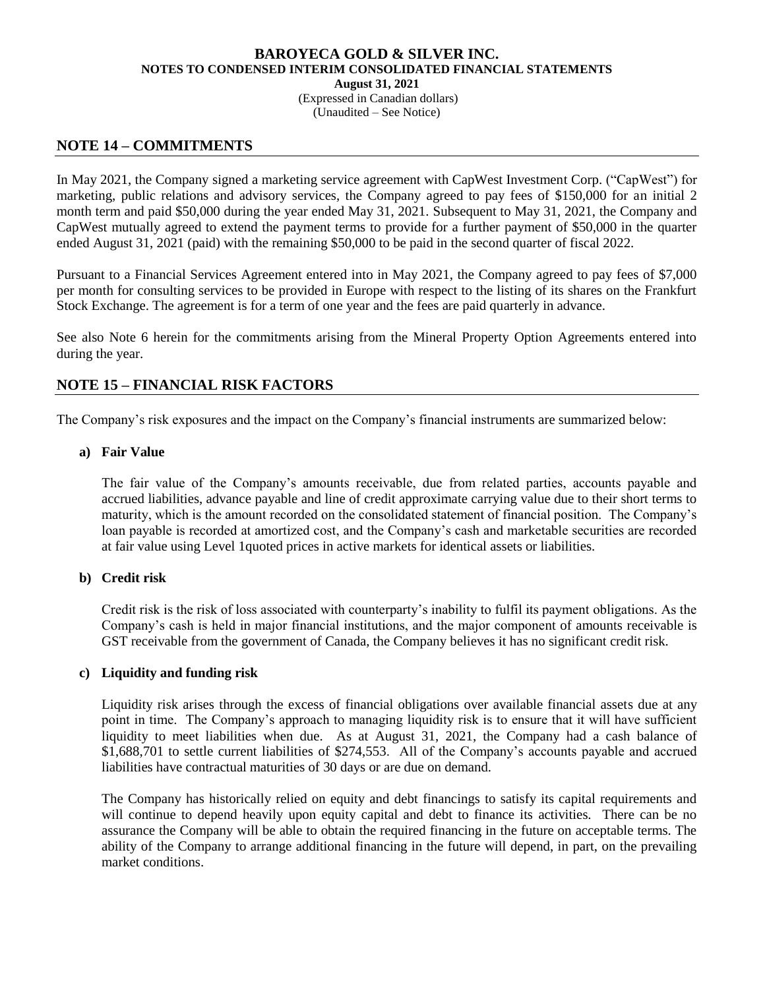(Expressed in Canadian dollars) (Unaudited – See Notice)

# **NOTE 14 – COMMITMENTS**

In May 2021, the Company signed a marketing service agreement with CapWest Investment Corp. ("CapWest") for marketing, public relations and advisory services, the Company agreed to pay fees of \$150,000 for an initial 2 month term and paid \$50,000 during the year ended May 31, 2021. Subsequent to May 31, 2021, the Company and CapWest mutually agreed to extend the payment terms to provide for a further payment of \$50,000 in the quarter ended August 31, 2021 (paid) with the remaining \$50,000 to be paid in the second quarter of fiscal 2022.

Pursuant to a Financial Services Agreement entered into in May 2021, the Company agreed to pay fees of \$7,000 per month for consulting services to be provided in Europe with respect to the listing of its shares on the Frankfurt Stock Exchange. The agreement is for a term of one year and the fees are paid quarterly in advance.

See also Note 6 herein for the commitments arising from the Mineral Property Option Agreements entered into during the year.

# **NOTE 15 – FINANCIAL RISK FACTORS**

The Company's risk exposures and the impact on the Company's financial instruments are summarized below:

# **a) Fair Value**

The fair value of the Company's amounts receivable, due from related parties, accounts payable and accrued liabilities, advance payable and line of credit approximate carrying value due to their short terms to maturity, which is the amount recorded on the consolidated statement of financial position. The Company's loan payable is recorded at amortized cost, and the Company's cash and marketable securities are recorded at fair value using Level 1quoted prices in active markets for identical assets or liabilities.

# **b) Credit risk**

Credit risk is the risk of loss associated with counterparty's inability to fulfil its payment obligations. As the Company's cash is held in major financial institutions, and the major component of amounts receivable is GST receivable from the government of Canada, the Company believes it has no significant credit risk.

# **c) Liquidity and funding risk**

Liquidity risk arises through the excess of financial obligations over available financial assets due at any point in time. The Company's approach to managing liquidity risk is to ensure that it will have sufficient liquidity to meet liabilities when due. As at August 31, 2021, the Company had a cash balance of \$1,688,701 to settle current liabilities of \$274,553. All of the Company's accounts payable and accrued liabilities have contractual maturities of 30 days or are due on demand.

The Company has historically relied on equity and debt financings to satisfy its capital requirements and will continue to depend heavily upon equity capital and debt to finance its activities. There can be no assurance the Company will be able to obtain the required financing in the future on acceptable terms. The ability of the Company to arrange additional financing in the future will depend, in part, on the prevailing market conditions.